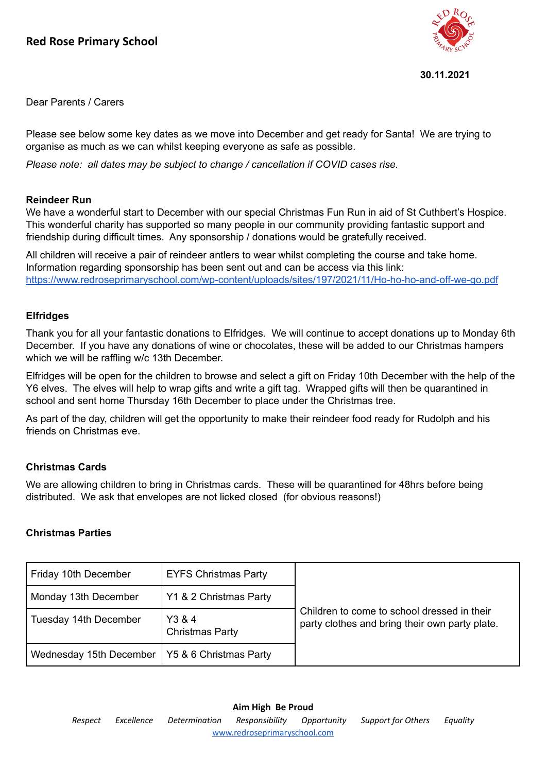

#### **30.11.2021**

Dear Parents / Carers

Please see below some key dates as we move into December and get ready for Santa! We are trying to organise as much as we can whilst keeping everyone as safe as possible.

*Please note: all dates may be subject to change / cancellation if COVID cases rise.*

## **Reindeer Run**

We have a wonderful start to December with our special Christmas Fun Run in aid of St Cuthbert's Hospice. This wonderful charity has supported so many people in our community providing fantastic support and friendship during difficult times. Any sponsorship / donations would be gratefully received.

All children will receive a pair of reindeer antlers to wear whilst completing the course and take home. Information regarding sponsorship has been sent out and can be access via this link: <https://www.redroseprimaryschool.com/wp-content/uploads/sites/197/2021/11/Ho-ho-ho-and-off-we-go.pdf>

### **Elfridges**

Thank you for all your fantastic donations to Elfridges. We will continue to accept donations up to Monday 6th December. If you have any donations of wine or chocolates, these will be added to our Christmas hampers which we will be raffling w/c 13th December.

Elfridges will be open for the children to browse and select a gift on Friday 10th December with the help of the Y6 elves. The elves will help to wrap gifts and write a gift tag. Wrapped gifts will then be quarantined in school and sent home Thursday 16th December to place under the Christmas tree.

As part of the day, children will get the opportunity to make their reindeer food ready for Rudolph and his friends on Christmas eve.

### **Christmas Cards**

We are allowing children to bring in Christmas cards. These will be quarantined for 48hrs before being distributed. We ask that envelopes are not licked closed (for obvious reasons!)

### **Christmas Parties**

| Friday 10th December                             | <b>EYFS Christmas Party</b>      |                                                                                               |
|--------------------------------------------------|----------------------------------|-----------------------------------------------------------------------------------------------|
| Monday 13th December                             | Y1 & 2 Christmas Party           |                                                                                               |
| Tuesday 14th December                            | Y3 & 4<br><b>Christmas Party</b> | Children to come to school dressed in their<br>party clothes and bring their own party plate. |
| Wednesday 15th December   Y5 & 6 Christmas Party |                                  |                                                                                               |